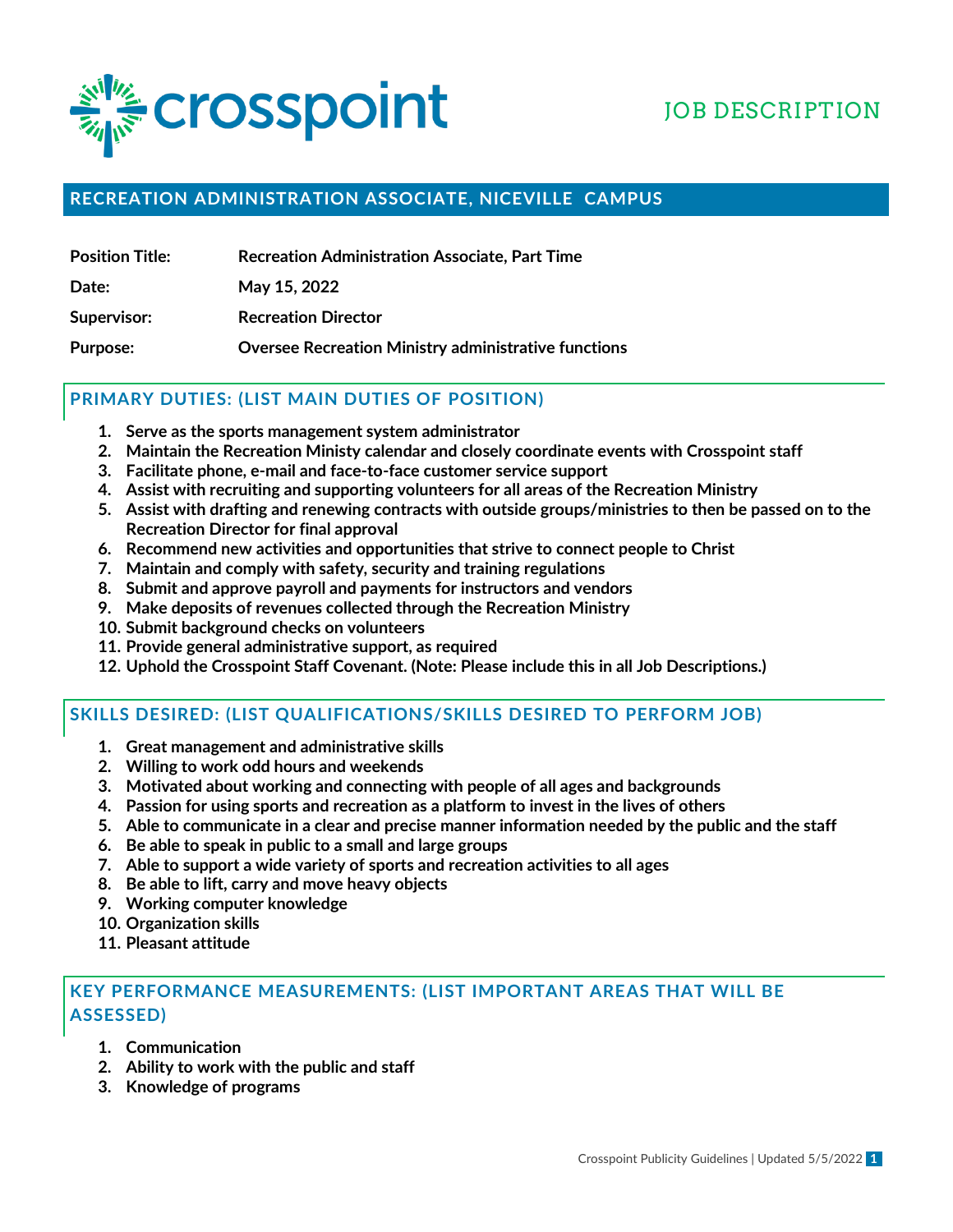

# JOB DESCRIPTION

## **RECREATION ADMINISTRATION ASSOCIATE, NICEVILLE CAMPUS**

| <b>Position Title:</b> | <b>Recreation Administration Associate, Part Time</b> |  |
|------------------------|-------------------------------------------------------|--|
|                        |                                                       |  |

**Date: May 15, 2022**

**Supervisor: Recreation Director**

**Purpose: Oversee Recreation Ministry administrative functions**

#### **PRIMARY DUTIES: (LIST MAIN DUTIES OF POSITION)**

- **1. Serve as the sports management system administrator**
- **2. Maintain the Recreation Ministy calendar and closely coordinate events with Crosspoint staff**
- **3. Facilitate phone, e-mail and face-to-face customer service support**
- **4. Assist with recruiting and supporting volunteers for all areas of the Recreation Ministry**
- **5. Assist with drafting and renewing contracts with outside groups/ministries to then be passed on to the Recreation Director for final approval**
- **6. Recommend new activities and opportunities that strive to connect people to Christ**
- **7. Maintain and comply with safety, security and training regulations**
- **8. Submit and approve payroll and payments for instructors and vendors**
- **9. Make deposits of revenues collected through the Recreation Ministry**
- **10. Submit background checks on volunteers**
- **11. Provide general administrative support, as required**
- **12. Uphold the Crosspoint Staff Covenant. (Note: Please include this in all Job Descriptions.)**

# **SKILLS DESIRED: (LIST QUALIFICATIONS/SKILLS DESIRED TO PERFORM JOB)**

- **1. Great management and administrative skills**
- **2. Willing to work odd hours and weekends**
- **3. Motivated about working and connecting with people of all ages and backgrounds**
- **4. Passion for using sports and recreation as a platform to invest in the lives of others**
- **5. Able to communicate in a clear and precise manner information needed by the public and the staff**
- **6. Be able to speak in public to a small and large groups**
- **7. Able to support a wide variety of sports and recreation activities to all ages**
- **8. Be able to lift, carry and move heavy objects**
- **9. Working computer knowledge**
- **10. Organization skills**
- **11. Pleasant attitude**

## **KEY PERFORMANCE MEASUREMENTS: (LIST IMPORTANT AREAS THAT WILL BE ASSESSED)**

- **1. Communication**
- **2. Ability to work with the public and staff**
- **3. Knowledge of programs**